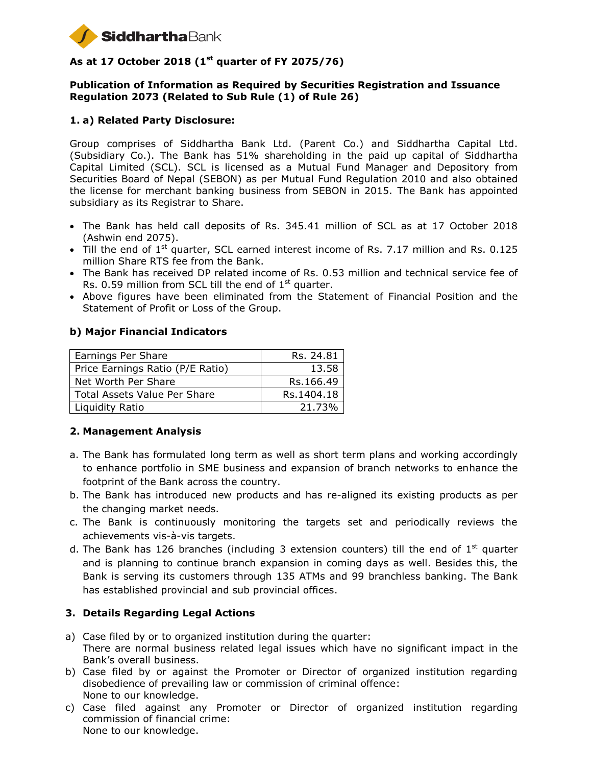

# **As at 17 October 2018 (1 st quarter of FY 2075/76)**

#### **Publication of Information as Required by Securities Registration and Issuance Regulation 2073 (Related to Sub Rule (1) of Rule 26)**

### **1. a) Related Party Disclosure:**

Group comprises of Siddhartha Bank Ltd. (Parent Co.) and Siddhartha Capital Ltd. (Subsidiary Co.). The Bank has 51% shareholding in the paid up capital of Siddhartha Capital Limited (SCL). SCL is licensed as a Mutual Fund Manager and Depository from Securities Board of Nepal (SEBON) as per Mutual Fund Regulation 2010 and also obtained the license for merchant banking business from SEBON in 2015. The Bank has appointed subsidiary as its Registrar to Share.

- The Bank has held call deposits of Rs. 345.41 million of SCL as at 17 October 2018 (Ashwin end 2075).
- $\bullet$  Till the end of 1<sup>st</sup> quarter, SCL earned interest income of Rs. 7.17 million and Rs. 0.125 million Share RTS fee from the Bank.
- The Bank has received DP related income of Rs. 0.53 million and technical service fee of Rs. 0.59 million from SCL till the end of  $1<sup>st</sup>$  quarter.
- Above figures have been eliminated from the Statement of Financial Position and the Statement of Profit or Loss of the Group.

#### **b) Major Financial Indicators**

| Earnings Per Share               | Rs. 24.81  |
|----------------------------------|------------|
| Price Earnings Ratio (P/E Ratio) | 13.58      |
| Net Worth Per Share              | Rs.166.49  |
| Total Assets Value Per Share     | Rs.1404.18 |
| Liquidity Ratio                  | 21.73%     |

#### **2. Management Analysis**

- a. The Bank has formulated long term as well as short term plans and working accordingly to enhance portfolio in SME business and expansion of branch networks to enhance the footprint of the Bank across the country.
- b. The Bank has introduced new products and has re-aligned its existing products as per the changing market needs.
- c. The Bank is continuously monitoring the targets set and periodically reviews the achievements vis-à-vis targets.
- d. The Bank has 126 branches (including 3 extension counters) till the end of  $1<sup>st</sup>$  quarter and is planning to continue branch expansion in coming days as well. Besides this, the Bank is serving its customers through 135 ATMs and 99 branchless banking. The Bank has established provincial and sub provincial offices.

#### **3. Details Regarding Legal Actions**

- a) Case filed by or to organized institution during the quarter: There are normal business related legal issues which have no significant impact in the Bank's overall business.
- b) Case filed by or against the Promoter or Director of organized institution regarding disobedience of prevailing law or commission of criminal offence: None to our knowledge.
- c) Case filed against any Promoter or Director of organized institution regarding commission of financial crime: None to our knowledge.